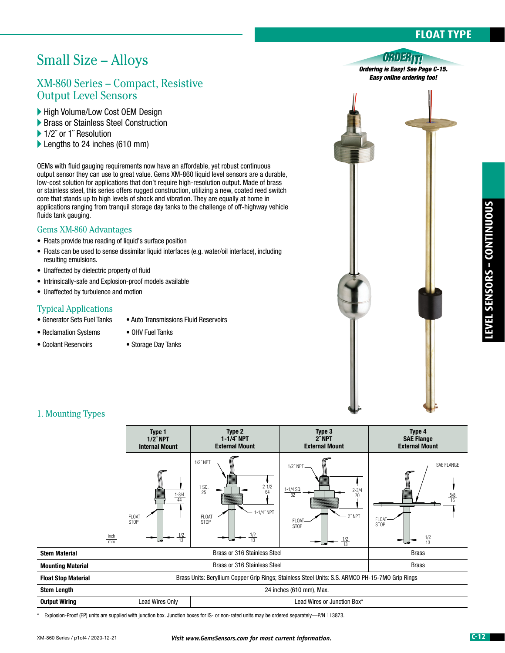## **FLOAT TYPE**

# Small Size – Alloys

## XM-860 Series – Compact, Resistive Output Level Sensors

- High Volume/Low Cost OEM Design
- **Brass or Stainless Steel Construction**
- ▶ 1/2" or 1" Resolution
- ▶ Lengths to 24 inches (610 mm)

OEMs with fluid gauging requirements now have an affordable, yet robust continuous output sensor they can use to great value. Gems XM-860 liquid level sensors are a durable, low-cost solution for applications that don't require high-resolution output. Made of brass or stainless steel, this series offers rugged construction, utilizing a new, coated reed switch core that stands up to high levels of shock and vibration. They are equally at home in applications ranging from tranquil storage day tanks to the challenge of off-highway vehicle fluids tank gauging.

#### Gems XM-860 Advantages

- Floats provide true reading of liquid's surface position
- Floats can be used to sense dissimilar liquid interfaces (e.g. water/oil interface), including resulting emulsions.
- Unaffected by dielectric property of fluid
- Intrinsically-safe and Explosion-proof models available
- Unaffected by turbulence and motion

#### Typical Applications

- Generator Sets Fuel Tanks Auto Transmissions Fluid Reservoirs
- Reclamation Systems OHV Fuel Tanks
- Coolant Reservoirs Storage Day Tanks
	-

#### ORDERTI *Ordering is Easy! See Page C-15. Easy online ordering too!*



### 1. Mounting Types



\* Explosion-Proof (EP) units are supplied with junction box. Junction boxes for IS- or non-rated units may be ordered separately—P/N 113873.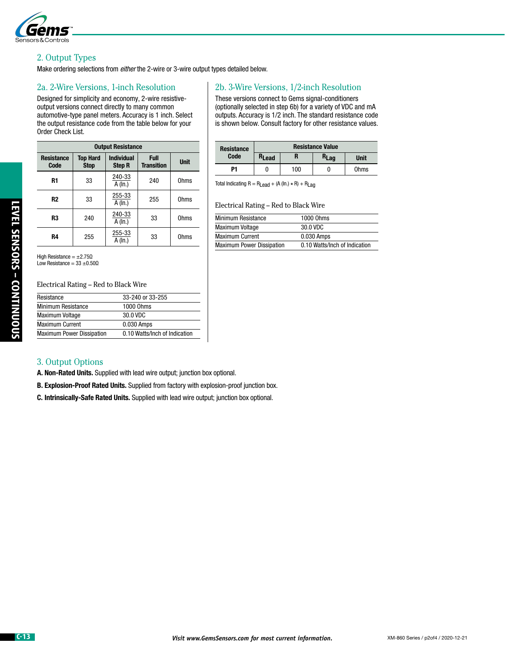

#### 2. Output Types

Make ordering selections from *either* the 2-wire or 3-wire output types detailed below.

#### 2a. 2-Wire Versions, 1-inch Resolution

Designed for simplicity and economy, 2-wire resistiveoutput versions connect directly to many common automotive-type panel meters. Accuracy is 1 inch. Select the output resistance code from the table below for your Order Check List.

| <b>Output Resistance</b>  |                                |                                    |                           |             |  |  |
|---------------------------|--------------------------------|------------------------------------|---------------------------|-------------|--|--|
| <b>Resistance</b><br>Code | <b>Top Hard</b><br><b>Stop</b> | <b>Individual</b><br><b>Step R</b> | Full<br><b>Transition</b> | <b>Unit</b> |  |  |
| R1                        | 33                             | 240-33<br>A (In.)                  | 240                       | Ohms        |  |  |
| R <sub>2</sub>            | 33                             | 255-33<br>A (In.)                  | 255                       | Ohms        |  |  |
| R3                        | 240                            | 240-33<br>A (In.)                  | 33                        | <b>Ohms</b> |  |  |
| R4                        | 255                            | 255-33<br>A (In.)                  | 33                        | <b>Ohms</b> |  |  |

2b. 3-Wire Versions, 1/2-inch Resolution

These versions connect to Gems signal-conditioners (optionally selected in step 6b) for a variety of VDC and mA outputs. Accuracy is 1/2 inch. The standard resistance code is shown below. Consult factory for other resistance values.

| <b>Resistance</b><br>Code | <b>Resistance Value</b> |     |                  |             |  |
|---------------------------|-------------------------|-----|------------------|-------------|--|
|                           | R <sub>Lead</sub>       |     | R <sub>Lag</sub> | <b>Unit</b> |  |
| P1                        |                         | 100 | U                | <b>Ohms</b> |  |

Total Indicating  $R = R_{\text{Lead}} + (A (\text{In.}) \times R) + R_{\text{Lag}}$ 

Electrical Rating – Red to Black Wire

| <b>Minimum Resistance</b>        | 1000 Ohms                     |
|----------------------------------|-------------------------------|
| <b>Maximum Voltage</b>           | 30.0 VDC                      |
| <b>Maximum Current</b>           | 0.030 Amps                    |
| <b>Maximum Power Dissipation</b> | 0.10 Watts/Inch of Indication |

High Resistance = ±2.75Ω Low Resistance =  $33 \pm 0.500$ 

Electrical Rating – Red to Black Wire

| Resistance                       | 33-240 or 33-255              |
|----------------------------------|-------------------------------|
| <b>Minimum Resistance</b>        | 1000 Ohms                     |
| <b>Maximum Voltage</b>           | 30.0 VDC                      |
| <b>Maximum Current</b>           | 0.030 Amps                    |
| <b>Maximum Power Dissipation</b> | 0.10 Watts/Inch of Indication |

#### 3. Output Options

A. Non-Rated Units. Supplied with lead wire output; junction box optional.

B. Explosion-Proof Rated Units. Supplied from factory with explosion-proof junction box.

C. Intrinsically-Safe Rated Units. Supplied with lead wire output; junction box optional.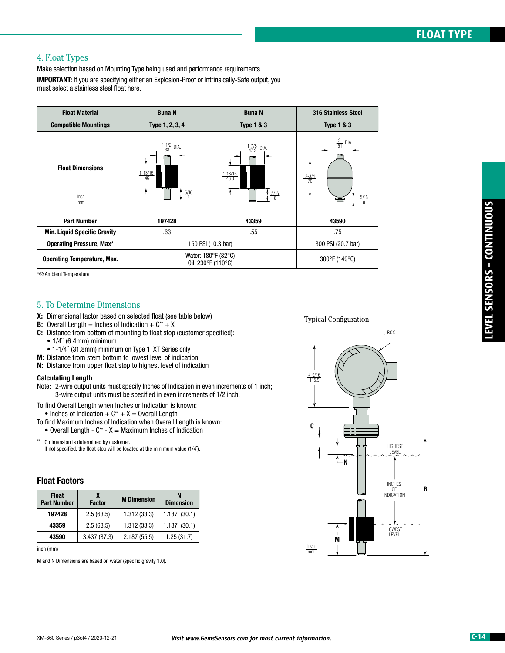### 4. Float Types

Make selection based on Mounting Type being used and performance requirements.

**IMPORTANT:** If you are specifying either an Explosion-Proof or Intrinsically-Safe output, you must select a stainless steel float here.

| <b>Float Material</b>                              | <b>Buna N</b>                                                               | <b>Buna N</b>                                                                   | 316 Stainless Steel                                                |
|----------------------------------------------------|-----------------------------------------------------------------------------|---------------------------------------------------------------------------------|--------------------------------------------------------------------|
| <b>Compatible Mountings</b>                        | Type 1, 2, 3, 4                                                             | <b>Type 1 &amp; 3</b>                                                           | <b>Type 1 &amp; 3</b>                                              |
| <b>Float Dimensions</b><br>inch<br>$\overline{mm}$ | $\frac{1-1/2}{38}$ DIA.<br>$\frac{1-13/16}{46}$<br>ساسا<br>$\frac{5/16}{8}$ | $\frac{1-7/8}{47.2}$ DIA.<br>$\frac{1-13/16}{46.0}$<br>جالب<br>$\frac{5/16}{8}$ | $\frac{2}{51}$ DIA.<br>$\frac{2-3/4}{70}$<br>$\frac{5/16}{8}$<br>₩ |
| <b>Part Number</b>                                 | 197428                                                                      | 43359                                                                           | 43590                                                              |
| <b>Min. Liquid Specific Gravity</b>                | .63                                                                         | .55                                                                             | .75                                                                |
| <b>Operating Pressure, Max*</b>                    | 150 PSI (10.3 bar)                                                          | 300 PSI (20.7 bar)                                                              |                                                                    |
| <b>Operating Temperature, Max.</b>                 | Water: 180°F (82°C)<br>Oil: 230°F (110°C)                                   | 300°F (149°C)                                                                   |                                                                    |

\*@ Ambient Temperature

#### 5. To Determine Dimensions

- X: Dimensional factor based on selected float (see table below)
- **B:** Overall Length = Inches of Indication +  $C^*$  + X
- C: Distance from bottom of mounting to float stop (customer specified):
	- $\bullet$  1/4" (6.4mm) minimum
	- 1-1/4˝ (31.8mm) minimum on Type 1, XT Series only
- M: Distance from stem bottom to lowest level of indication
- N: Distance from upper float stop to highest level of indication

#### Calculating Length

- Note: 2-wire output units must specify Inches of Indication in even increments of 1 inch; 3-wire output units must be specified in even increments of 1/2 inch.
- To find Overall Length when Inches or Indication is known:
- Inches of Indication  $+ C^* + X =$  Overall Length
- To find Maximum Inches of Indication when Overall Length is known:
- Overall Length  $C^*$   $X =$  Maximum Inches of Indication

C dimension is determined by customer. If not specified, the float stop will be located at the minimum value (1/4<sup> $\degree$ </sup>).

#### Float Factors

| <b>Float</b><br><b>Part Number</b> | χ<br><b>Factor</b> | <b>M</b> Dimension | N<br><b>Dimension</b> |  |
|------------------------------------|--------------------|--------------------|-----------------------|--|
| 197428                             | 2.5(63.5)          | 1.312(33.3)        | 1.187(30.1)           |  |
| 43359                              | 2.5(63.5)          | 1.312(33.3)        | 1.187(30.1)           |  |
| 43590                              | 3.437(87.3)        | 2.187(55.5)        | 1.25(31.7)            |  |

inch (mm)

M and N Dimensions are based on water (specific gravity 1.0).

Typical Configuration